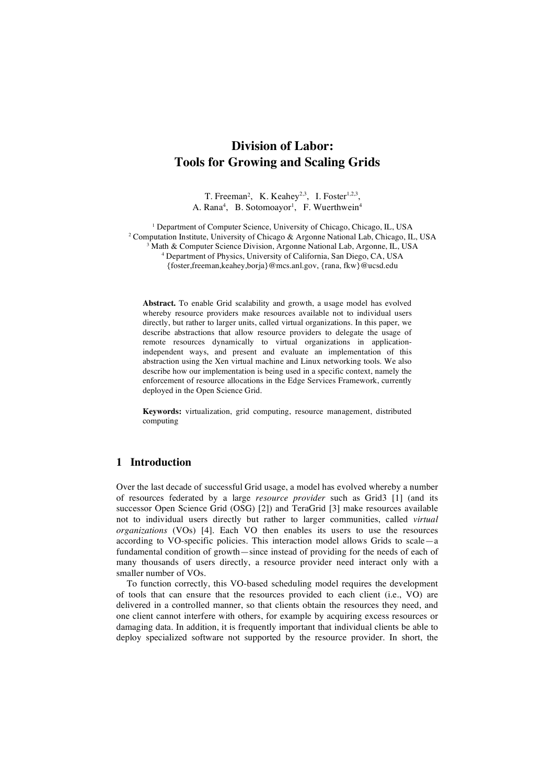# **Division of Labor: Tools for Growing and Scaling Grids**

T. Freeman<sup>2</sup>, K. Keahey<sup>2,3</sup>, I. Foster<sup>1,2,3</sup>, A. Rana<sup>4</sup>, B. Sotomoayor<sup>1</sup>, F. Wuerthwein<sup>4</sup>

<sup>1</sup> Department of Computer Science, University of Chicago, Chicago, IL, USA <sup>2</sup> Computation Institute, University of Chicago & Argonne National Lab, Chicago, IL, USA <sup>3</sup> Math & Computer Science Division, Argonne National Lab, Argonne, IL, USA <sup>4</sup> Department of Physics, University of California, San Diego, CA, USA {foster,freeman,keahey,borja}@mcs.anl.gov, {rana, fkw}@ucsd.edu

**Abstract.** To enable Grid scalability and growth, a usage model has evolved whereby resource providers make resources available not to individual users directly, but rather to larger units, called virtual organizations. In this paper, we describe abstractions that allow resource providers to delegate the usage of remote resources dynamically to virtual organizations in applicationindependent ways, and present and evaluate an implementation of this abstraction using the Xen virtual machine and Linux networking tools. We also describe how our implementation is being used in a specific context, namely the enforcement of resource allocations in the Edge Services Framework, currently deployed in the Open Science Grid.

**Keywords:** virtualization, grid computing, resource management, distributed computing

## **1 Introduction**

Over the last decade of successful Grid usage, a model has evolved whereby a number of resources federated by a large *resource provider* such as Grid3 [1] (and its successor Open Science Grid (OSG) [2]) and TeraGrid [3] make resources available not to individual users directly but rather to larger communities, called *virtual organizations* (VOs) [4]. Each VO then enables its users to use the resources according to VO-specific policies. This interaction model allows Grids to scale—a fundamental condition of growth—since instead of providing for the needs of each of many thousands of users directly, a resource provider need interact only with a smaller number of VOs.

To function correctly, this VO-based scheduling model requires the development of tools that can ensure that the resources provided to each client (i.e., VO) are delivered in a controlled manner, so that clients obtain the resources they need, and one client cannot interfere with others, for example by acquiring excess resources or damaging data. In addition, it is frequently important that individual clients be able to deploy specialized software not supported by the resource provider. In short, the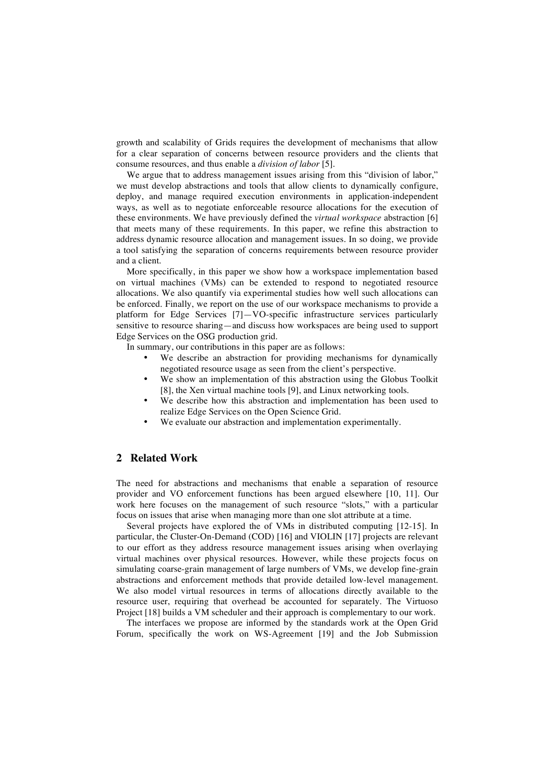growth and scalability of Grids requires the development of mechanisms that allow for a clear separation of concerns between resource providers and the clients that consume resources, and thus enable a *division of labor* [5].

We argue that to address management issues arising from this "division of labor," we must develop abstractions and tools that allow clients to dynamically configure, deploy, and manage required execution environments in application-independent ways, as well as to negotiate enforceable resource allocations for the execution of these environments. We have previously defined the *virtual workspace* abstraction [6] that meets many of these requirements*.* In this paper, we refine this abstraction to address dynamic resource allocation and management issues. In so doing, we provide a tool satisfying the separation of concerns requirements between resource provider and a client.

More specifically, in this paper we show how a workspace implementation based on virtual machines (VMs) can be extended to respond to negotiated resource allocations. We also quantify via experimental studies how well such allocations can be enforced. Finally, we report on the use of our workspace mechanisms to provide a platform for Edge Services [7]—VO-specific infrastructure services particularly sensitive to resource sharing—and discuss how workspaces are being used to support Edge Services on the OSG production grid.

In summary, our contributions in this paper are as follows:

- We describe an abstraction for providing mechanisms for dynamically negotiated resource usage as seen from the client's perspective.
- We show an implementation of this abstraction using the Globus Toolkit [8], the Xen virtual machine tools [9], and Linux networking tools.
- We describe how this abstraction and implementation has been used to realize Edge Services on the Open Science Grid.
- We evaluate our abstraction and implementation experimentally.

# **2 Related Work**

The need for abstractions and mechanisms that enable a separation of resource provider and VO enforcement functions has been argued elsewhere [10, 11]. Our work here focuses on the management of such resource "slots," with a particular focus on issues that arise when managing more than one slot attribute at a time.

Several projects have explored the of VMs in distributed computing [12-15]. In particular, the Cluster-On-Demand (COD) [16] and VIOLIN [17] projects are relevant to our effort as they address resource management issues arising when overlaying virtual machines over physical resources. However, while these projects focus on simulating coarse-grain management of large numbers of VMs, we develop fine-grain abstractions and enforcement methods that provide detailed low-level management. We also model virtual resources in terms of allocations directly available to the resource user, requiring that overhead be accounted for separately. The Virtuoso Project [18] builds a VM scheduler and their approach is complementary to our work.

The interfaces we propose are informed by the standards work at the Open Grid Forum, specifically the work on WS-Agreement [19] and the Job Submission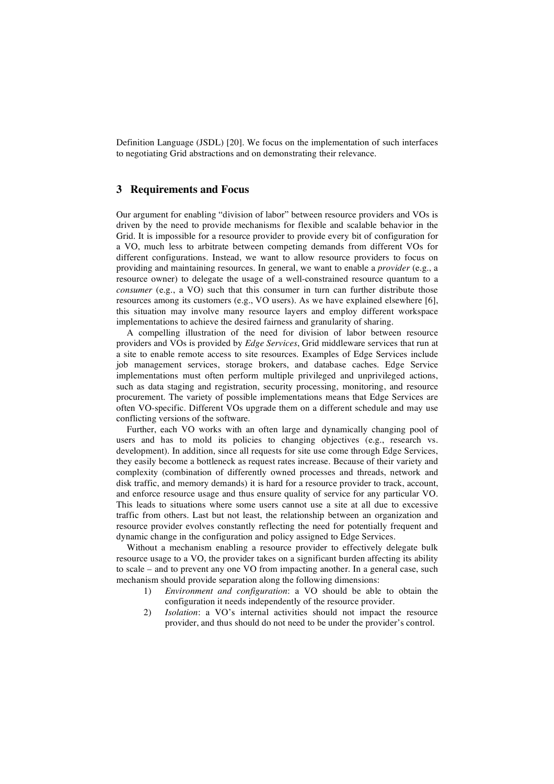Definition Language (JSDL) [20]. We focus on the implementation of such interfaces to negotiating Grid abstractions and on demonstrating their relevance.

# **3 Requirements and Focus**

Our argument for enabling "division of labor" between resource providers and VOs is driven by the need to provide mechanisms for flexible and scalable behavior in the Grid. It is impossible for a resource provider to provide every bit of configuration for a VO, much less to arbitrate between competing demands from different VOs for different configurations. Instead, we want to allow resource providers to focus on providing and maintaining resources. In general, we want to enable a *provider* (e.g., a resource owner) to delegate the usage of a well-constrained resource quantum to a *consumer* (e.g., a VO) such that this consumer in turn can further distribute those resources among its customers (e.g., VO users). As we have explained elsewhere [6], this situation may involve many resource layers and employ different workspace implementations to achieve the desired fairness and granularity of sharing.

A compelling illustration of the need for division of labor between resource providers and VOs is provided by *Edge Services*, Grid middleware services that run at a site to enable remote access to site resources. Examples of Edge Services include job management services, storage brokers, and database caches. Edge Service implementations must often perform multiple privileged and unprivileged actions, such as data staging and registration, security processing, monitoring, and resource procurement. The variety of possible implementations means that Edge Services are often VO-specific. Different VOs upgrade them on a different schedule and may use conflicting versions of the software.

Further, each VO works with an often large and dynamically changing pool of users and has to mold its policies to changing objectives (e.g., research vs. development). In addition, since all requests for site use come through Edge Services, they easily become a bottleneck as request rates increase. Because of their variety and complexity (combination of differently owned processes and threads, network and disk traffic, and memory demands) it is hard for a resource provider to track, account, and enforce resource usage and thus ensure quality of service for any particular VO. This leads to situations where some users cannot use a site at all due to excessive traffic from others. Last but not least, the relationship between an organization and resource provider evolves constantly reflecting the need for potentially frequent and dynamic change in the configuration and policy assigned to Edge Services.

Without a mechanism enabling a resource provider to effectively delegate bulk resource usage to a VO, the provider takes on a significant burden affecting its ability to scale – and to prevent any one VO from impacting another. In a general case, such mechanism should provide separation along the following dimensions:

- 1) *Environment and configuration*: a VO should be able to obtain the configuration it needs independently of the resource provider.
- 2) *Isolation*: a VO's internal activities should not impact the resource provider, and thus should do not need to be under the provider's control.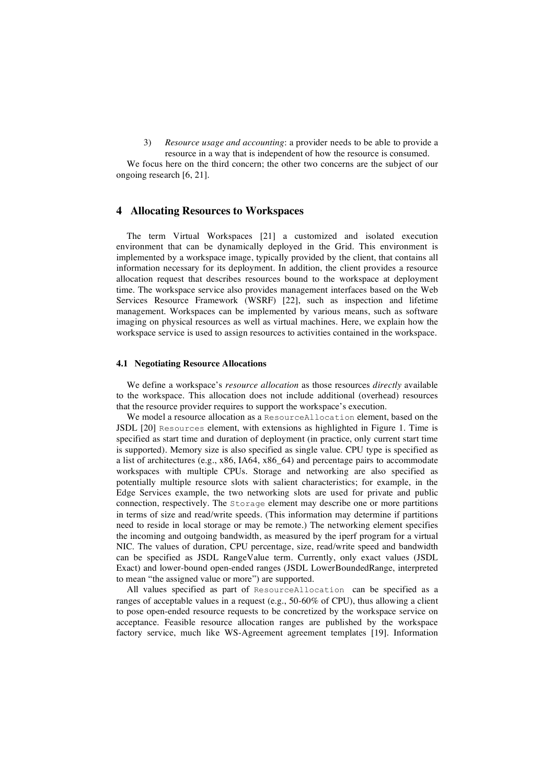3) *Resource usage and accounting*: a provider needs to be able to provide a resource in a way that is independent of how the resource is consumed.

We focus here on the third concern; the other two concerns are the subject of our ongoing research [6, 21].

# **4 Allocating Resources to Workspaces**

The term Virtual Workspaces [21] a customized and isolated execution environment that can be dynamically deployed in the Grid. This environment is implemented by a workspace image, typically provided by the client, that contains all information necessary for its deployment. In addition, the client provides a resource allocation request that describes resources bound to the workspace at deployment time. The workspace service also provides management interfaces based on the Web Services Resource Framework (WSRF) [22], such as inspection and lifetime management. Workspaces can be implemented by various means, such as software imaging on physical resources as well as virtual machines. Here, we explain how the workspace service is used to assign resources to activities contained in the workspace.

## **4.1 Negotiating Resource Allocations**

We define a workspace's *resource allocation* as those resources *directly* available to the workspace. This allocation does not include additional (overhead) resources that the resource provider requires to support the workspace's execution.

We model a resource allocation as a ResourceAllocation element, based on the JSDL [20] Resources element, with extensions as highlighted in Figure 1. Time is specified as start time and duration of deployment (in practice, only current start time is supported). Memory size is also specified as single value. CPU type is specified as a list of architectures (e.g., x86, IA64, x86\_64) and percentage pairs to accommodate workspaces with multiple CPUs. Storage and networking are also specified as potentially multiple resource slots with salient characteristics; for example, in the Edge Services example, the two networking slots are used for private and public connection, respectively. The Storage element may describe one or more partitions in terms of size and read/write speeds. (This information may determine if partitions need to reside in local storage or may be remote.) The networking element specifies the incoming and outgoing bandwidth, as measured by the iperf program for a virtual NIC. The values of duration, CPU percentage, size, read/write speed and bandwidth can be specified as JSDL RangeValue term. Currently, only exact values (JSDL Exact) and lower-bound open-ended ranges (JSDL LowerBoundedRange, interpreted to mean "the assigned value or more") are supported.

All values specified as part of ResourceAllocation can be specified as a ranges of acceptable values in a request (e.g., 50-60% of CPU), thus allowing a client to pose open-ended resource requests to be concretized by the workspace service on acceptance. Feasible resource allocation ranges are published by the workspace factory service, much like WS-Agreement agreement templates [19]. Information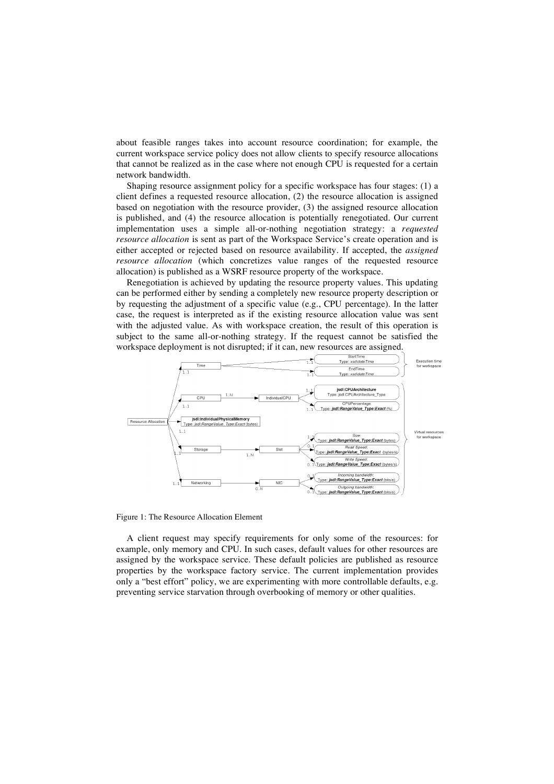about feasible ranges takes into account resource coordination; for example, the current workspace service policy does not allow clients to specify resource allocations that cannot be realized as in the case where not enough CPU is requested for a certain network bandwidth.

Shaping resource assignment policy for a specific workspace has four stages: (1) a client defines a requested resource allocation, (2) the resource allocation is assigned based on negotiation with the resource provider, (3) the assigned resource allocation is published, and (4) the resource allocation is potentially renegotiated. Our current implementation uses a simple all-or-nothing negotiation strategy: a *requested resource allocation* is sent as part of the Workspace Service's create operation and is either accepted or rejected based on resource availability. If accepted, the *assigned resource allocation* (which concretizes value ranges of the requested resource allocation) is published as a WSRF resource property of the workspace.

Renegotiation is achieved by updating the resource property values. This updating can be performed either by sending a completely new resource property description or by requesting the adjustment of a specific value (e.g., CPU percentage). In the latter case, the request is interpreted as if the existing resource allocation value was sent with the adjusted value. As with workspace creation, the result of this operation is subject to the same all-or-nothing strategy. If the request cannot be satisfied the workspace deployment is not disrupted; if it can, new resources are assigned.



Figure 1: The Resource Allocation Element

A client request may specify requirements for only some of the resources: for example, only memory and CPU. In such cases, default values for other resources are assigned by the workspace service. These default policies are published as resource properties by the workspace factory service. The current implementation provides only a "best effort" policy, we are experimenting with more controllable defaults, e.g. preventing service starvation through overbooking of memory or other qualities.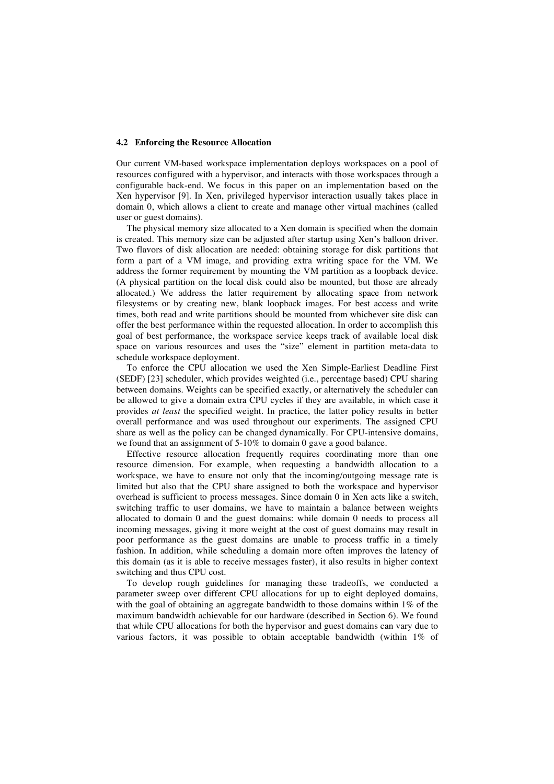#### **4.2 Enforcing the Resource Allocation**

Our current VM-based workspace implementation deploys workspaces on a pool of resources configured with a hypervisor, and interacts with those workspaces through a configurable back-end. We focus in this paper on an implementation based on the Xen hypervisor [9]. In Xen, privileged hypervisor interaction usually takes place in domain 0, which allows a client to create and manage other virtual machines (called user or guest domains).

The physical memory size allocated to a Xen domain is specified when the domain is created. This memory size can be adjusted after startup using Xen's balloon driver. Two flavors of disk allocation are needed: obtaining storage for disk partitions that form a part of a VM image, and providing extra writing space for the VM. We address the former requirement by mounting the VM partition as a loopback device. (A physical partition on the local disk could also be mounted, but those are already allocated.) We address the latter requirement by allocating space from network filesystems or by creating new, blank loopback images. For best access and write times, both read and write partitions should be mounted from whichever site disk can offer the best performance within the requested allocation. In order to accomplish this goal of best performance, the workspace service keeps track of available local disk space on various resources and uses the "size" element in partition meta-data to schedule workspace deployment.

To enforce the CPU allocation we used the Xen Simple-Earliest Deadline First (SEDF) [23] scheduler, which provides weighted (i.e., percentage based) CPU sharing between domains. Weights can be specified exactly, or alternatively the scheduler can be allowed to give a domain extra CPU cycles if they are available, in which case it provides *at least* the specified weight. In practice, the latter policy results in better overall performance and was used throughout our experiments. The assigned CPU share as well as the policy can be changed dynamically. For CPU-intensive domains, we found that an assignment of 5-10% to domain 0 gave a good balance.

Effective resource allocation frequently requires coordinating more than one resource dimension. For example, when requesting a bandwidth allocation to a workspace, we have to ensure not only that the incoming/outgoing message rate is limited but also that the CPU share assigned to both the workspace and hypervisor overhead is sufficient to process messages. Since domain 0 in Xen acts like a switch, switching traffic to user domains, we have to maintain a balance between weights allocated to domain 0 and the guest domains: while domain 0 needs to process all incoming messages, giving it more weight at the cost of guest domains may result in poor performance as the guest domains are unable to process traffic in a timely fashion. In addition, while scheduling a domain more often improves the latency of this domain (as it is able to receive messages faster), it also results in higher context switching and thus CPU cost.

To develop rough guidelines for managing these tradeoffs, we conducted a parameter sweep over different CPU allocations for up to eight deployed domains, with the goal of obtaining an aggregate bandwidth to those domains within 1% of the maximum bandwidth achievable for our hardware (described in Section 6). We found that while CPU allocations for both the hypervisor and guest domains can vary due to various factors, it was possible to obtain acceptable bandwidth (within 1% of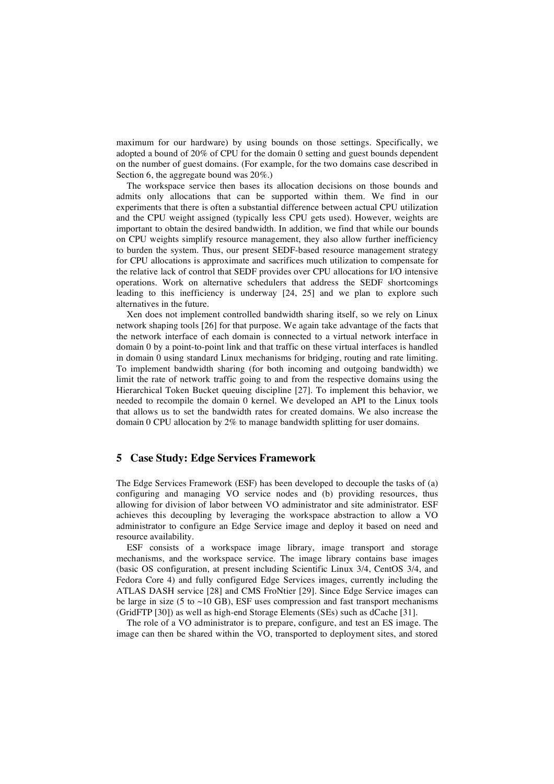maximum for our hardware) by using bounds on those settings. Specifically, we adopted a bound of 20% of CPU for the domain 0 setting and guest bounds dependent on the number of guest domains. (For example, for the two domains case described in Section 6, the aggregate bound was 20%.)

The workspace service then bases its allocation decisions on those bounds and admits only allocations that can be supported within them. We find in our experiments that there is often a substantial difference between actual CPU utilization and the CPU weight assigned (typically less CPU gets used). However, weights are important to obtain the desired bandwidth. In addition, we find that while our bounds on CPU weights simplify resource management, they also allow further inefficiency to burden the system. Thus, our present SEDF-based resource management strategy for CPU allocations is approximate and sacrifices much utilization to compensate for the relative lack of control that SEDF provides over CPU allocations for I/O intensive operations. Work on alternative schedulers that address the SEDF shortcomings leading to this inefficiency is underway [24, 25] and we plan to explore such alternatives in the future.

Xen does not implement controlled bandwidth sharing itself, so we rely on Linux network shaping tools [26] for that purpose. We again take advantage of the facts that the network interface of each domain is connected to a virtual network interface in domain 0 by a point-to-point link and that traffic on these virtual interfaces is handled in domain 0 using standard Linux mechanisms for bridging, routing and rate limiting. To implement bandwidth sharing (for both incoming and outgoing bandwidth) we limit the rate of network traffic going to and from the respective domains using the Hierarchical Token Bucket queuing discipline [27]. To implement this behavior, we needed to recompile the domain 0 kernel. We developed an API to the Linux tools that allows us to set the bandwidth rates for created domains. We also increase the domain 0 CPU allocation by 2% to manage bandwidth splitting for user domains.

#### **5 Case Study: Edge Services Framework**

The Edge Services Framework (ESF) has been developed to decouple the tasks of (a) configuring and managing VO service nodes and (b) providing resources, thus allowing for division of labor between VO administrator and site administrator. ESF achieves this decoupling by leveraging the workspace abstraction to allow a VO administrator to configure an Edge Service image and deploy it based on need and resource availability.

ESF consists of a workspace image library, image transport and storage mechanisms, and the workspace service. The image library contains base images (basic OS configuration, at present including Scientific Linux 3/4, CentOS 3/4, and Fedora Core 4) and fully configured Edge Services images, currently including the ATLAS DASH service [28] and CMS FroNtier [29]. Since Edge Service images can be large in size (5 to  $\sim$ 10 GB), ESF uses compression and fast transport mechanisms (GridFTP [30]) as well as high-end Storage Elements (SEs) such as dCache [31].

The role of a VO administrator is to prepare, configure, and test an ES image. The image can then be shared within the VO, transported to deployment sites, and stored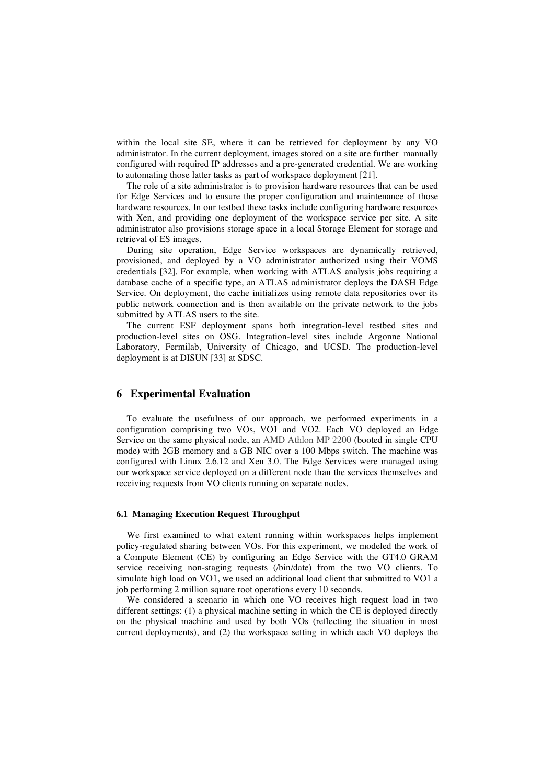within the local site SE, where it can be retrieved for deployment by any VO administrator. In the current deployment, images stored on a site are further manually configured with required IP addresses and a pre-generated credential. We are working to automating those latter tasks as part of workspace deployment [21].

The role of a site administrator is to provision hardware resources that can be used for Edge Services and to ensure the proper configuration and maintenance of those hardware resources. In our testbed these tasks include configuring hardware resources with Xen, and providing one deployment of the workspace service per site. A site administrator also provisions storage space in a local Storage Element for storage and retrieval of ES images.

During site operation, Edge Service workspaces are dynamically retrieved, provisioned, and deployed by a VO administrator authorized using their VOMS credentials [32]. For example, when working with ATLAS analysis jobs requiring a database cache of a specific type, an ATLAS administrator deploys the DASH Edge Service. On deployment, the cache initializes using remote data repositories over its public network connection and is then available on the private network to the jobs submitted by ATLAS users to the site.

The current ESF deployment spans both integration-level testbed sites and production-level sites on OSG. Integration-level sites include Argonne National Laboratory, Fermilab, University of Chicago, and UCSD. The production-level deployment is at DISUN [33] at SDSC.

#### **6 Experimental Evaluation**

To evaluate the usefulness of our approach, we performed experiments in a configuration comprising two VOs, VO1 and VO2. Each VO deployed an Edge Service on the same physical node, an AMD Athlon MP 2200 (booted in single CPU mode) with 2GB memory and a GB NIC over a 100 Mbps switch. The machine was configured with Linux 2.6.12 and Xen 3.0. The Edge Services were managed using our workspace service deployed on a different node than the services themselves and receiving requests from VO clients running on separate nodes.

#### **6.1 Managing Execution Request Throughput**

We first examined to what extent running within workspaces helps implement policy-regulated sharing between VOs. For this experiment, we modeled the work of a Compute Element (CE) by configuring an Edge Service with the GT4.0 GRAM service receiving non-staging requests (/bin/date) from the two VO clients. To simulate high load on VO1, we used an additional load client that submitted to VO1 a job performing 2 million square root operations every 10 seconds.

We considered a scenario in which one VO receives high request load in two different settings: (1) a physical machine setting in which the CE is deployed directly on the physical machine and used by both VOs (reflecting the situation in most current deployments), and (2) the workspace setting in which each VO deploys the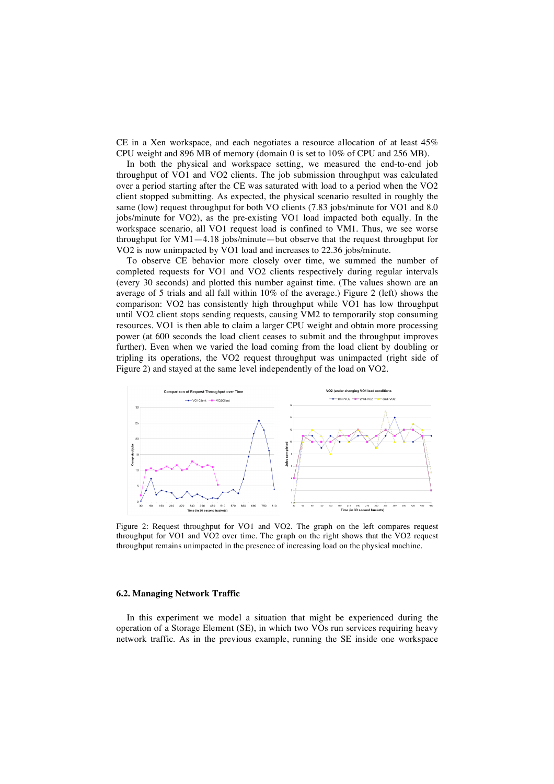CE in a Xen workspace, and each negotiates a resource allocation of at least 45% CPU weight and 896 MB of memory (domain 0 is set to 10% of CPU and 256 MB).

In both the physical and workspace setting, we measured the end-to-end job throughput of VO1 and VO2 clients. The job submission throughput was calculated over a period starting after the CE was saturated with load to a period when the VO2 client stopped submitting. As expected, the physical scenario resulted in roughly the same (low) request throughput for both VO clients (7.83 jobs/minute for VO1 and 8.0 jobs/minute for VO2), as the pre-existing VO1 load impacted both equally. In the workspace scenario, all VO1 request load is confined to VM1. Thus, we see worse throughput for VM1—4.18 jobs/minute—but observe that the request throughput for VO2 is now unimpacted by VO1 load and increases to 22.36 jobs/minute.

To observe CE behavior more closely over time, we summed the number of completed requests for VO1 and VO2 clients respectively during regular intervals (every 30 seconds) and plotted this number against time. (The values shown are an average of 5 trials and all fall within 10% of the average.) Figure 2 (left) shows the comparison: VO2 has consistently high throughput while VO1 has low throughput until VO2 client stops sending requests, causing VM2 to temporarily stop consuming resources. VO1 is then able to claim a larger CPU weight and obtain more processing power (at 600 seconds the load client ceases to submit and the throughput improves further). Even when we varied the load coming from the load client by doubling or tripling its operations, the VO2 request throughput was unimpacted (right side of Figure 2) and stayed at the same level independently of the load on VO2.



Figure 2: Request throughput for VO1 and VO2. The graph on the left compares request throughput for VO1 and VO2 over time. The graph on the right shows that the VO2 request throughput remains unimpacted in the presence of increasing load on the physical machine.

#### **6.2. Managing Network Traffic**

In this experiment we model a situation that might be experienced during the operation of a Storage Element (SE), in which two VOs run services requiring heavy network traffic. As in the previous example, running the SE inside one workspace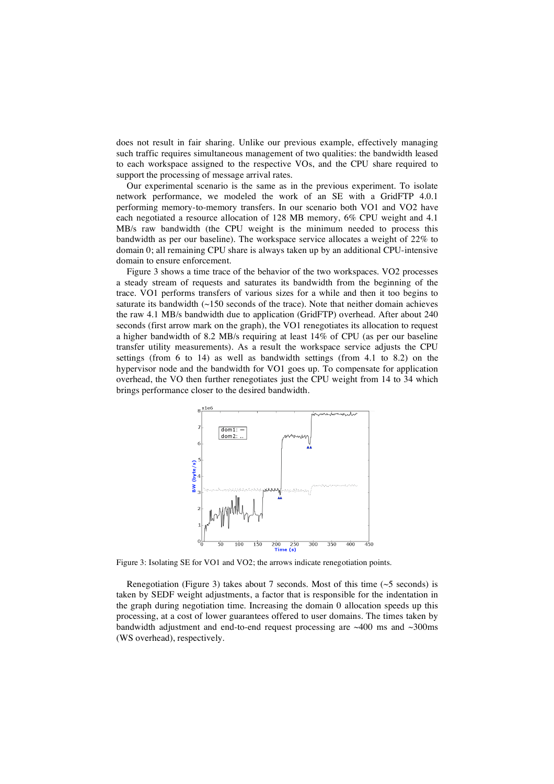does not result in fair sharing. Unlike our previous example, effectively managing such traffic requires simultaneous management of two qualities: the bandwidth leased to each workspace assigned to the respective VOs, and the CPU share required to support the processing of message arrival rates.

Our experimental scenario is the same as in the previous experiment. To isolate network performance, we modeled the work of an SE with a GridFTP 4.0.1 performing memory-to-memory transfers. In our scenario both VO1 and VO2 have each negotiated a resource allocation of 128 MB memory, 6% CPU weight and 4.1 MB/s raw bandwidth (the CPU weight is the minimum needed to process this bandwidth as per our baseline). The workspace service allocates a weight of 22% to domain 0; all remaining CPU share is always taken up by an additional CPU-intensive domain to ensure enforcement.

Figure 3 shows a time trace of the behavior of the two workspaces. VO2 processes a steady stream of requests and saturates its bandwidth from the beginning of the trace. VO1 performs transfers of various sizes for a while and then it too begins to saturate its bandwidth  $(\sim 150$  seconds of the trace). Note that neither domain achieves the raw 4.1 MB/s bandwidth due to application (GridFTP) overhead. After about 240 seconds (first arrow mark on the graph), the VO1 renegotiates its allocation to request a higher bandwidth of 8.2 MB/s requiring at least 14% of CPU (as per our baseline transfer utility measurements). As a result the workspace service adjusts the CPU settings (from 6 to 14) as well as bandwidth settings (from 4.1 to 8.2) on the hypervisor node and the bandwidth for VO1 goes up. To compensate for application overhead, the VO then further renegotiates just the CPU weight from 14 to 34 which brings performance closer to the desired bandwidth.



Figure 3: Isolating SE for VO1 and VO2; the arrows indicate renegotiation points.

Renegotiation (Figure 3) takes about 7 seconds. Most of this time ( $\sim$ 5 seconds) is taken by SEDF weight adjustments, a factor that is responsible for the indentation in the graph during negotiation time. Increasing the domain 0 allocation speeds up this processing, at a cost of lower guarantees offered to user domains. The times taken by bandwidth adjustment and end-to-end request processing are  $\sim$ 400 ms and  $\sim$ 300ms (WS overhead), respectively.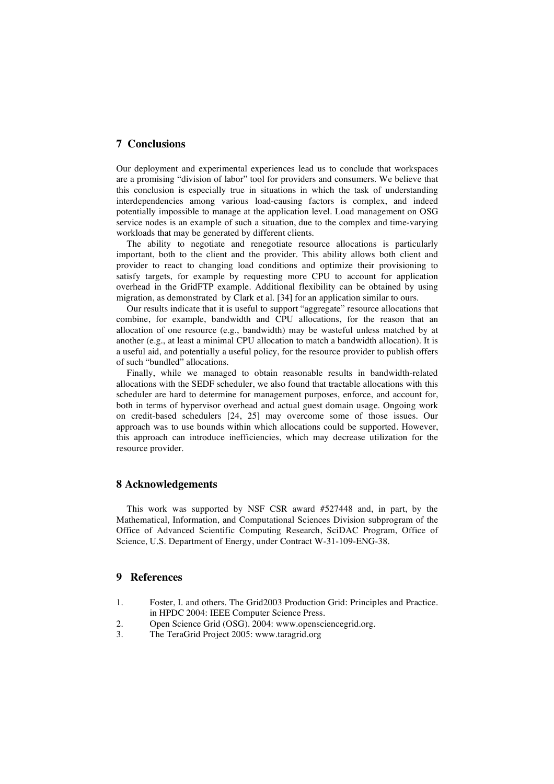# **7 Conclusions**

Our deployment and experimental experiences lead us to conclude that workspaces are a promising "division of labor" tool for providers and consumers. We believe that this conclusion is especially true in situations in which the task of understanding interdependencies among various load-causing factors is complex, and indeed potentially impossible to manage at the application level. Load management on OSG service nodes is an example of such a situation, due to the complex and time-varying workloads that may be generated by different clients.

The ability to negotiate and renegotiate resource allocations is particularly important, both to the client and the provider. This ability allows both client and provider to react to changing load conditions and optimize their provisioning to satisfy targets, for example by requesting more CPU to account for application overhead in the GridFTP example. Additional flexibility can be obtained by using migration, as demonstrated by Clark et al. [34] for an application similar to ours.

Our results indicate that it is useful to support "aggregate" resource allocations that combine, for example, bandwidth and CPU allocations, for the reason that an allocation of one resource (e.g., bandwidth) may be wasteful unless matched by at another (e.g., at least a minimal CPU allocation to match a bandwidth allocation). It is a useful aid, and potentially a useful policy, for the resource provider to publish offers of such "bundled" allocations.

Finally, while we managed to obtain reasonable results in bandwidth-related allocations with the SEDF scheduler, we also found that tractable allocations with this scheduler are hard to determine for management purposes, enforce, and account for, both in terms of hypervisor overhead and actual guest domain usage. Ongoing work on credit-based schedulers [24, 25] may overcome some of those issues. Our approach was to use bounds within which allocations could be supported. However, this approach can introduce inefficiencies, which may decrease utilization for the resource provider.

# **8 Acknowledgements**

This work was supported by NSF CSR award #527448 and, in part, by the Mathematical, Information, and Computational Sciences Division subprogram of the Office of Advanced Scientific Computing Research, SciDAC Program, Office of Science, U.S. Department of Energy, under Contract W-31-109-ENG-38.

# **9 References**

- 1. Foster, I. and others. The Grid2003 Production Grid: Principles and Practice. in HPDC 2004: IEEE Computer Science Press.
- 2. Open Science Grid (OSG). 2004: www.opensciencegrid.org.
- 3. The TeraGrid Project 2005: www.taragrid.org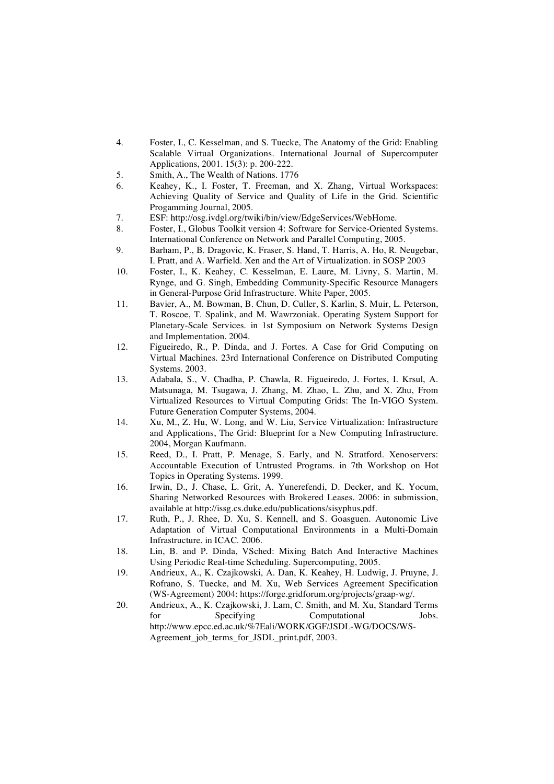- 4. Foster, I., C. Kesselman, and S. Tuecke, The Anatomy of the Grid: Enabling Scalable Virtual Organizations. International Journal of Supercomputer Applications, 2001. 15(3): p. 200-222.
- 5. Smith, A., The Wealth of Nations. 1776
- 6. Keahey, K., I. Foster, T. Freeman, and X. Zhang, Virtual Workspaces: Achieving Quality of Service and Quality of Life in the Grid. Scientific Progamming Journal, 2005.
- 7. ESF: http://osg.ivdgl.org/twiki/bin/view/EdgeServices/WebHome.
- 8. Foster, I., Globus Toolkit version 4: Software for Service-Oriented Systems. International Conference on Network and Parallel Computing, 2005.
- 9. Barham, P., B. Dragovic, K. Fraser, S. Hand, T. Harris, A. Ho, R. Neugebar, I. Pratt, and A. Warfield. Xen and the Art of Virtualization. in SOSP 2003
- 10. Foster, I., K. Keahey, C. Kesselman, E. Laure, M. Livny, S. Martin, M. Rynge, and G. Singh, Embedding Community-Specific Resource Managers in General-Purpose Grid Infrastructure. White Paper, 2005.
- 11. Bavier, A., M. Bowman, B. Chun, D. Culler, S. Karlin, S. Muir, L. Peterson, T. Roscoe, T. Spalink, and M. Wawrzoniak. Operating System Support for Planetary-Scale Services. in 1st Symposium on Network Systems Design and Implementation. 2004.
- 12. Figueiredo, R., P. Dinda, and J. Fortes. A Case for Grid Computing on Virtual Machines. 23rd International Conference on Distributed Computing Systems. 2003.
- 13. Adabala, S., V. Chadha, P. Chawla, R. Figueiredo, J. Fortes, I. Krsul, A. Matsunaga, M. Tsugawa, J. Zhang, M. Zhao, L. Zhu, and X. Zhu, From Virtualized Resources to Virtual Computing Grids: The In-VIGO System. Future Generation Computer Systems, 2004.
- 14. Xu, M., Z. Hu, W. Long, and W. Liu, Service Virtualization: Infrastructure and Applications, The Grid: Blueprint for a New Computing Infrastructure. 2004, Morgan Kaufmann.
- 15. Reed, D., I. Pratt, P. Menage, S. Early, and N. Stratford. Xenoservers: Accountable Execution of Untrusted Programs. in 7th Workshop on Hot Topics in Operating Systems. 1999.
- 16. Irwin, D., J. Chase, L. Grit, A. Yunerefendi, D. Decker, and K. Yocum, Sharing Networked Resources with Brokered Leases. 2006: in submission, available at http://issg.cs.duke.edu/publications/sisyphus.pdf.
- 17. Ruth, P., J. Rhee, D. Xu, S. Kennell, and S. Goasguen. Autonomic Live Adaptation of Virtual Computational Environments in a Multi-Domain Infrastructure. in ICAC. 2006.
- 18. Lin, B. and P. Dinda, VSched: Mixing Batch And Interactive Machines Using Periodic Real-time Scheduling. Supercomputing, 2005.
- 19. Andrieux, A., K. Czajkowski, A. Dan, K. Keahey, H. Ludwig, J. Pruyne, J. Rofrano, S. Tuecke, and M. Xu, Web Services Agreement Specification (WS-Agreement) 2004: https://forge.gridforum.org/projects/graap-wg/.
- 20. Andrieux, A., K. Czajkowski, J. Lam, C. Smith, and M. Xu, Standard Terms<br>for Specifying Computational Jobs. for Specifying Computational Jobs. http://www.epcc.ed.ac.uk/%7Eali/WORK/GGF/JSDL-WG/DOCS/WS-Agreement job terms for JSDL print.pdf, 2003.